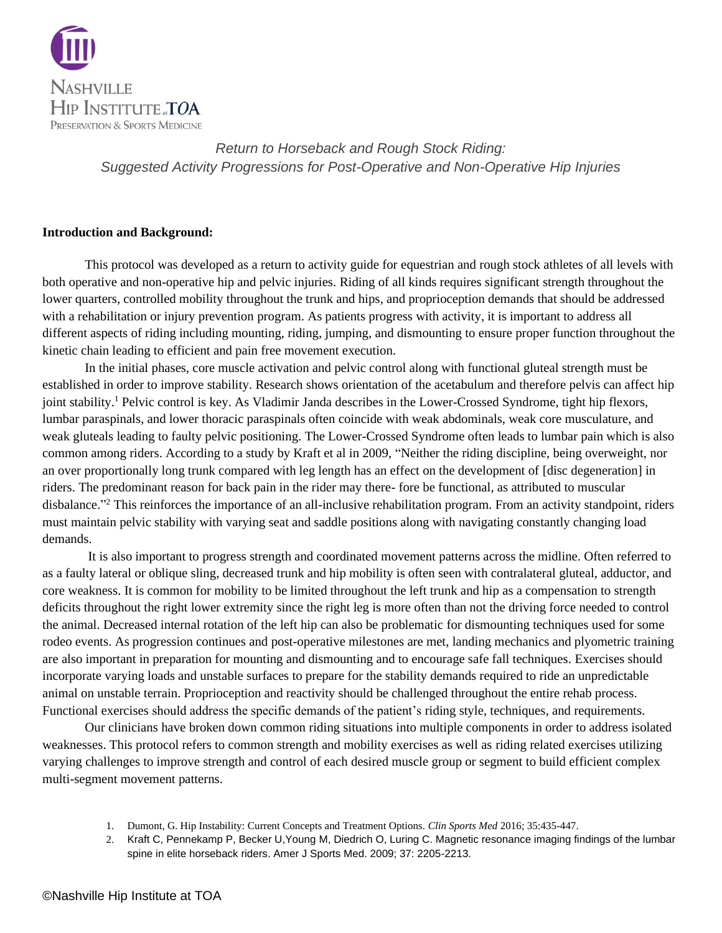

#### **Introduction and Background:**

This protocol was developed as a return to activity guide for equestrian and rough stock athletes of all levels with both operative and non-operative hip and pelvic injuries. Riding of all kinds requires significant strength throughout the lower quarters, controlled mobility throughout the trunk and hips, and proprioception demands that should be addressed with a rehabilitation or injury prevention program. As patients progress with activity, it is important to address all different aspects of riding including mounting, riding, jumping, and dismounting to ensure proper function throughout the kinetic chain leading to efficient and pain free movement execution.

In the initial phases, core muscle activation and pelvic control along with functional gluteal strength must be established in order to improve stability. Research shows orientation of the acetabulum and therefore pelvis can affect hip joint stability.<sup>1</sup> Pelvic control is key. As Vladimir Janda describes in the Lower-Crossed Syndrome, tight hip flexors, lumbar paraspinals, and lower thoracic paraspinals often coincide with weak abdominals, weak core musculature, and weak gluteals leading to faulty pelvic positioning. The Lower-Crossed Syndrome often leads to lumbar pain which is also common among riders. According to a study by Kraft et al in 2009, "Neither the riding discipline, being overweight, nor an over proportionally long trunk compared with leg length has an effect on the development of [disc degeneration] in riders. The predominant reason for back pain in the rider may there- fore be functional, as attributed to muscular disbalance."<sup>2</sup> This reinforces the importance of an all-inclusive rehabilitation program. From an activity standpoint, riders must maintain pelvic stability with varying seat and saddle positions along with navigating constantly changing load demands.

It is also important to progress strength and coordinated movement patterns across the midline. Often referred to as a faulty lateral or oblique sling, decreased trunk and hip mobility is often seen with contralateral gluteal, adductor, and core weakness. It is common for mobility to be limited throughout the left trunk and hip as a compensation to strength deficits throughout the right lower extremity since the right leg is more often than not the driving force needed to control the animal. Decreased internal rotation of the left hip can also be problematic for dismounting techniques used for some rodeo events. As progression continues and post-operative milestones are met, landing mechanics and plyometric training are also important in preparation for mounting and dismounting and to encourage safe fall techniques. Exercises should incorporate varying loads and unstable surfaces to prepare for the stability demands required to ride an unpredictable animal on unstable terrain. Proprioception and reactivity should be challenged throughout the entire rehab process. Functional exercises should address the specific demands of the patient's riding style, techniques, and requirements.

Our clinicians have broken down common riding situations into multiple components in order to address isolated weaknesses. This protocol refers to common strength and mobility exercises as well as riding related exercises utilizing varying challenges to improve strength and control of each desired muscle group or segment to build efficient complex multi-segment movement patterns.

- 1. Dumont, G. Hip Instability: Current Concepts and Treatment Options. *Clin Sports Med* 2016; 35:435-447.
- 2. Kraft C, Pennekamp P, Becker U,Young M, Diedrich O, Luring C. Magnetic resonance imaging findings of the lumbar spine in elite horseback riders. Amer J Sports Med. 2009; 37: 2205-2213.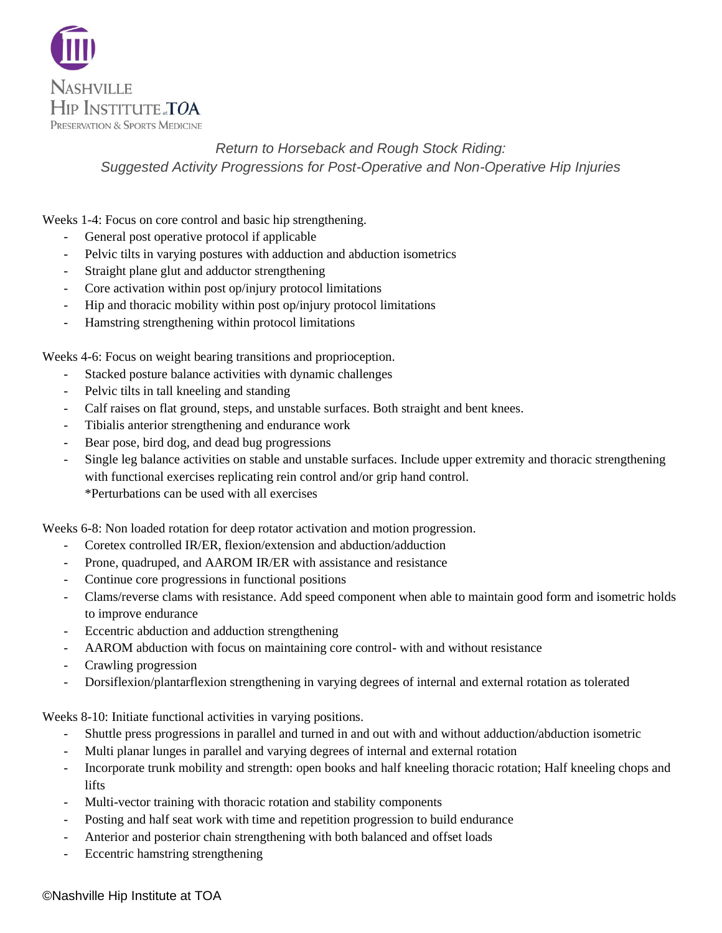

Weeks 1-4: Focus on core control and basic hip strengthening.

- General post operative protocol if applicable
- Pelvic tilts in varying postures with adduction and abduction isometrics
- Straight plane glut and adductor strengthening
- Core activation within post op/injury protocol limitations
- Hip and thoracic mobility within post op/injury protocol limitations
- Hamstring strengthening within protocol limitations

Weeks 4-6: Focus on weight bearing transitions and proprioception.

- Stacked posture balance activities with dynamic challenges
- Pelvic tilts in tall kneeling and standing
- Calf raises on flat ground, steps, and unstable surfaces. Both straight and bent knees.
- Tibialis anterior strengthening and endurance work
- Bear pose, bird dog, and dead bug progressions
- Single leg balance activities on stable and unstable surfaces. Include upper extremity and thoracic strengthening with functional exercises replicating rein control and/or grip hand control. \*Perturbations can be used with all exercises

Weeks 6-8: Non loaded rotation for deep rotator activation and motion progression.

- Coretex controlled IR/ER, flexion/extension and abduction/adduction
- Prone, quadruped, and AAROM IR/ER with assistance and resistance
- Continue core progressions in functional positions
- Clams/reverse clams with resistance. Add speed component when able to maintain good form and isometric holds to improve endurance
- Eccentric abduction and adduction strengthening
- AAROM abduction with focus on maintaining core control- with and without resistance
- Crawling progression
- Dorsiflexion/plantarflexion strengthening in varying degrees of internal and external rotation as tolerated

Weeks 8-10: Initiate functional activities in varying positions.

- Shuttle press progressions in parallel and turned in and out with and without adduction/abduction isometric
- Multi planar lunges in parallel and varying degrees of internal and external rotation
- Incorporate trunk mobility and strength: open books and half kneeling thoracic rotation; Half kneeling chops and lifts
- Multi-vector training with thoracic rotation and stability components
- Posting and half seat work with time and repetition progression to build endurance
- Anterior and posterior chain strengthening with both balanced and offset loads
- Eccentric hamstring strengthening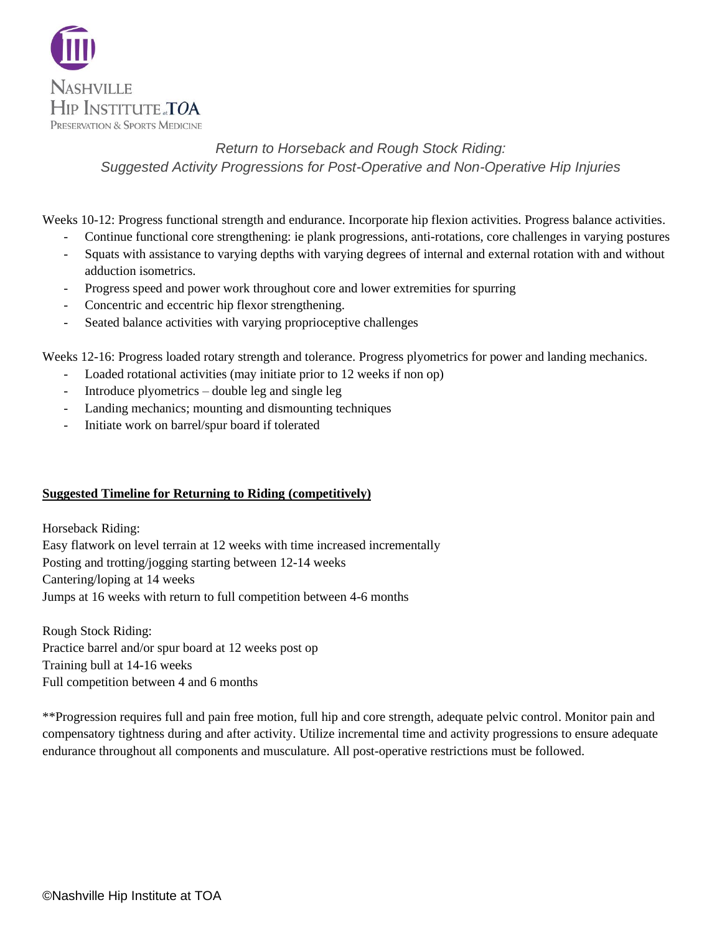

Weeks 10-12: Progress functional strength and endurance. Incorporate hip flexion activities. Progress balance activities.

- Continue functional core strengthening: ie plank progressions, anti-rotations, core challenges in varying postures
- Squats with assistance to varying depths with varying degrees of internal and external rotation with and without adduction isometrics.
- Progress speed and power work throughout core and lower extremities for spurring
- Concentric and eccentric hip flexor strengthening.
- Seated balance activities with varying proprioceptive challenges

Weeks 12-16: Progress loaded rotary strength and tolerance. Progress plyometrics for power and landing mechanics.

- Loaded rotational activities (may initiate prior to 12 weeks if non op)
- Introduce plyometrics double leg and single leg
- Landing mechanics; mounting and dismounting techniques
- Initiate work on barrel/spur board if tolerated

#### **Suggested Timeline for Returning to Riding (competitively)**

Horseback Riding: Easy flatwork on level terrain at 12 weeks with time increased incrementally Posting and trotting/jogging starting between 12-14 weeks Cantering/loping at 14 weeks Jumps at 16 weeks with return to full competition between 4-6 months

Rough Stock Riding: Practice barrel and/or spur board at 12 weeks post op Training bull at 14-16 weeks Full competition between 4 and 6 months

\*\*Progression requires full and pain free motion, full hip and core strength, adequate pelvic control. Monitor pain and compensatory tightness during and after activity. Utilize incremental time and activity progressions to ensure adequate endurance throughout all components and musculature. All post-operative restrictions must be followed.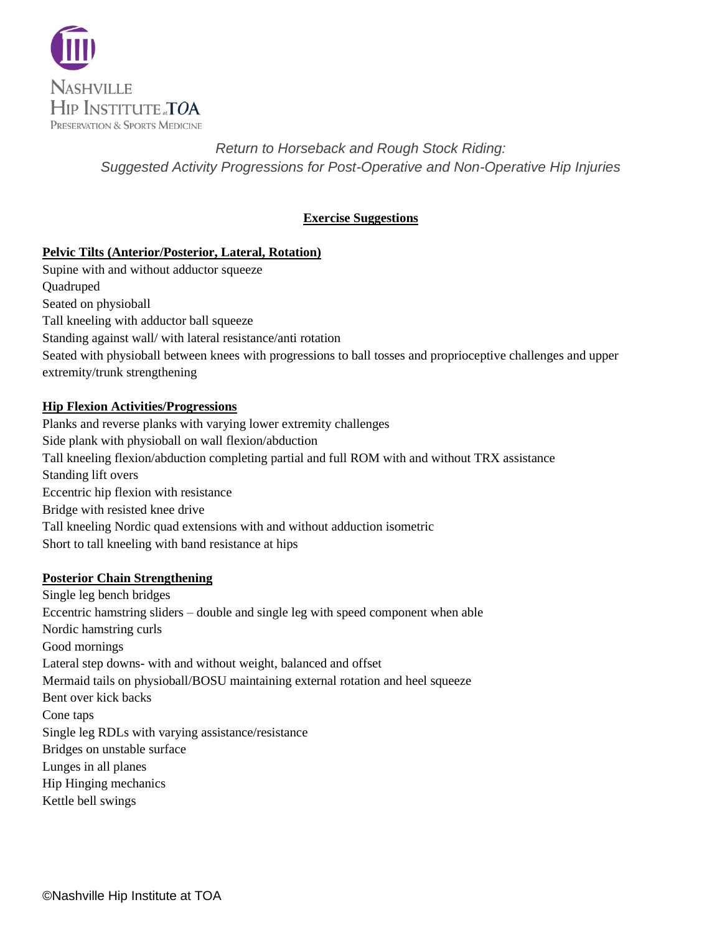

## **Exercise Suggestions**

## **Pelvic Tilts (Anterior/Posterior, Lateral, Rotation)**

Supine with and without adductor squeeze **Ouadruped** Seated on physioball Tall kneeling with adductor ball squeeze Standing against wall/ with lateral resistance/anti rotation Seated with physioball between knees with progressions to ball tosses and proprioceptive challenges and upper extremity/trunk strengthening

### **Hip Flexion Activities/Progressions**

Planks and reverse planks with varying lower extremity challenges Side plank with physioball on wall flexion/abduction Tall kneeling flexion/abduction completing partial and full ROM with and without TRX assistance Standing lift overs Eccentric hip flexion with resistance Bridge with resisted knee drive Tall kneeling Nordic quad extensions with and without adduction isometric Short to tall kneeling with band resistance at hips

### **Posterior Chain Strengthening**

Single leg bench bridges Eccentric hamstring sliders – double and single leg with speed component when able Nordic hamstring curls Good mornings Lateral step downs- with and without weight, balanced and offset Mermaid tails on physioball/BOSU maintaining external rotation and heel squeeze Bent over kick backs Cone taps Single leg RDLs with varying assistance/resistance Bridges on unstable surface Lunges in all planes Hip Hinging mechanics Kettle bell swings